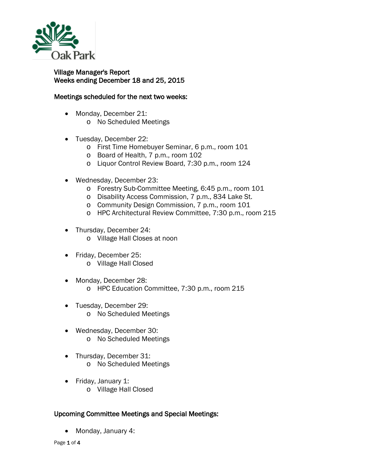

## Village Manager's Report Weeks ending December 18 and 25, 2015

## Meetings scheduled for the next two weeks:

- Monday, December 21:
	- o No Scheduled Meetings
- Tuesday, December 22:
	- o First Time Homebuyer Seminar, 6 p.m., room 101
	- o Board of Health, 7 p.m., room 102
	- o Liquor Control Review Board, 7:30 p.m., room 124
- Wednesday, December 23:
	- o Forestry Sub-Committee Meeting, 6:45 p.m., room 101
	- o Disability Access Commission, 7 p.m., 834 Lake St.
	- o Community Design Commission, 7 p.m., room 101
	- o HPC Architectural Review Committee, 7:30 p.m., room 215
- Thursday, December 24:
	- o Village Hall Closes at noon
- Friday, December 25:
	- o Village Hall Closed
- Monday, December 28: o HPC Education Committee, 7:30 p.m., room 215
- Tuesday, December 29: o No Scheduled Meetings
- Wednesday, December 30: o No Scheduled Meetings
- Thursday, December 31: o No Scheduled Meetings
- Friday, January 1:
	- o Village Hall Closed

## Upcoming Committee Meetings and Special Meetings:

• Monday, January 4: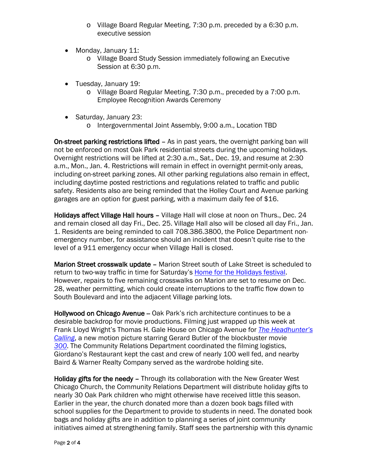- o Village Board Regular Meeting, 7:30 p.m. preceded by a 6:30 p.m. executive session
- Monday, January 11:
	- o Village Board Study Session immediately following an Executive Session at 6:30 p.m.
- Tuesday, January 19:
	- o Village Board Regular Meeting, 7:30 p.m., preceded by a 7:00 p.m. Employee Recognition Awards Ceremony
- Saturday, January 23:
	- o Intergovernmental Joint Assembly, 9:00 a.m., Location TBD

On-street parking restrictions lifted - As in past years, the overnight parking ban will not be enforced on most Oak Park residential streets during the upcoming holidays. Overnight restrictions will be lifted at 2:30 a.m., Sat., Dec. 19, and resume at 2:30 a.m., Mon., Jan. 4. Restrictions will remain in effect in overnight permit-only areas, including on-street parking zones. All other parking regulations also remain in effect, including daytime posted restrictions and regulations related to traffic and public safety. Residents also are being reminded that the Holley Court and Avenue parking garages are an option for guest parking, with a maximum daily fee of \$16.

Holidays affect Village Hall hours - Village Hall will close at noon on Thurs., Dec. 24 and remain closed all day Fri., Dec. 25. Village Hall also will be closed all day Fri., Jan. 1. Residents are being reminded to call 708.386.3800, the Police Department nonemergency number, for assistance should an incident that doesn't quite rise to the level of a 911 emergency occur when Village Hall is closed.

Marion Street crosswalk update - Marion Street south of Lake Street is scheduled to return to two-way traffic in time for Saturday's [Home for the Holidays festival.](http://www.downtownoakpark.net/signature-event/home-holidays/) However, repairs to five remaining crosswalks on Marion are set to resume on Dec. 28, weather permitting, which could create interruptions to the traffic flow down to South Boulevard and into the adjacent Village parking lots.

Hollywood on Chicago Avenue - Oak Park's rich architecture continues to be a desirable backdrop for movie productions. Filming just wrapped up this week at Frank Lloyd Wright's Thomas H. Gale House on Chicago Avenue for *[The Headhunter's](http://variety.com/2015/film/news/headhunters-calling-gerard-butler-1201585079/)  [Calling](http://variety.com/2015/film/news/headhunters-calling-gerard-butler-1201585079/)*, a new motion picture starring Gerard Butler of the blockbuster movie *[300](https://en.wikipedia.org/wiki/300_(film))*. The Community Relations Department coordinated the filming logistics, Giordano's Restaurant kept the cast and crew of nearly 100 well fed, and nearby Baird & Warner Realty Company served as the wardrobe holding site.

Holiday gifts for the needy - Through its collaboration with the New Greater West Chicago Church, the Community Relations Department will distribute holiday gifts to nearly 30 Oak Park children who might otherwise have received little this season. Earlier in the year, the church donated more than a dozen book bags filled with school supplies for the Department to provide to students in need. The donated book bags and holiday gifts are in addition to planning a series of joint community initiatives aimed at strengthening family. Staff sees the partnership with this dynamic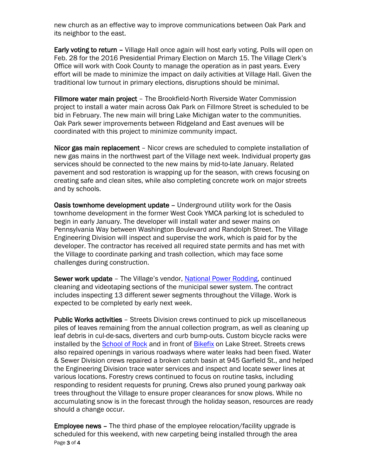new church as an effective way to improve communications between Oak Park and its neighbor to the east.

Early voting to return - Village Hall once again will host early voting. Polls will open on Feb. 28 for the 2016 Presidential Primary Election on March 15. The Village Clerk's Office will work with Cook County to manage the operation as in past years. Every effort will be made to minimize the impact on daily activities at Village Hall. Given the traditional low turnout in primary elections, disruptions should be minimal.

Fillmore water main project – The Brookfield-North Riverside Water Commission project to install a water main across Oak Park on Fillmore Street is scheduled to be bid in February. The new main will bring Lake Michigan water to the communities. Oak Park sewer improvements between Ridgeland and East avenues will be coordinated with this project to minimize community impact.

Nicor gas main replacement – Nicor crews are scheduled to complete installation of new gas mains in the northwest part of the Village next week. Individual property gas services should be connected to the new mains by mid-to-late January. Related pavement and sod restoration is wrapping up for the season, with crews focusing on creating safe and clean sites, while also completing concrete work on major streets and by schools.

Oasis townhome development update - Underground utility work for the Oasis townhome development in the former West Cook YMCA parking lot is scheduled to begin in early January. The developer will install water and sewer mains on Pennsylvania Way between Washington Boulevard and Randolph Street. The Village Engineering Division will inspect and supervise the work, which is paid for by the developer. The contractor has received all required state permits and has met with the Village to coordinate parking and trash collection, which may face some challenges during construction.

Sewer work update – The Village's vendor, [National Power Rodding,](http://www.nationalpowerrodding.com/) continued cleaning and videotaping sections of the municipal sewer system. The contract includes inspecting 13 different sewer segments throughout the Village. Work is expected to be completed by early next week.

Public Works activities – Streets Division crews continued to pick up miscellaneous piles of leaves remaining from the annual collection program, as well as cleaning up leaf debris in cul-de-sacs, diverters and curb bump-outs. Custom bicycle racks were installed by the [School of Rock](http://locations.schoolofrock.com/oakpark) and in front of [Bikefix](http://www.bikefixinc.com/) on Lake Street. Streets crews also repaired openings in various roadways where water leaks had been fixed. Water & Sewer Division crews repaired a broken catch basin at 945 Garfield St., and helped the Engineering Division trace water services and inspect and locate sewer lines at various locations. Forestry crews continued to focus on routine tasks, including responding to resident requests for pruning. Crews also pruned young parkway oak trees throughout the Village to ensure proper clearances for snow plows. While no accumulating snow is in the forecast through the holiday season, resources are ready should a change occur.

Page 3 of 4 Employee news – The third phase of the employee relocation/facility upgrade is scheduled for this weekend, with new carpeting being installed through the area